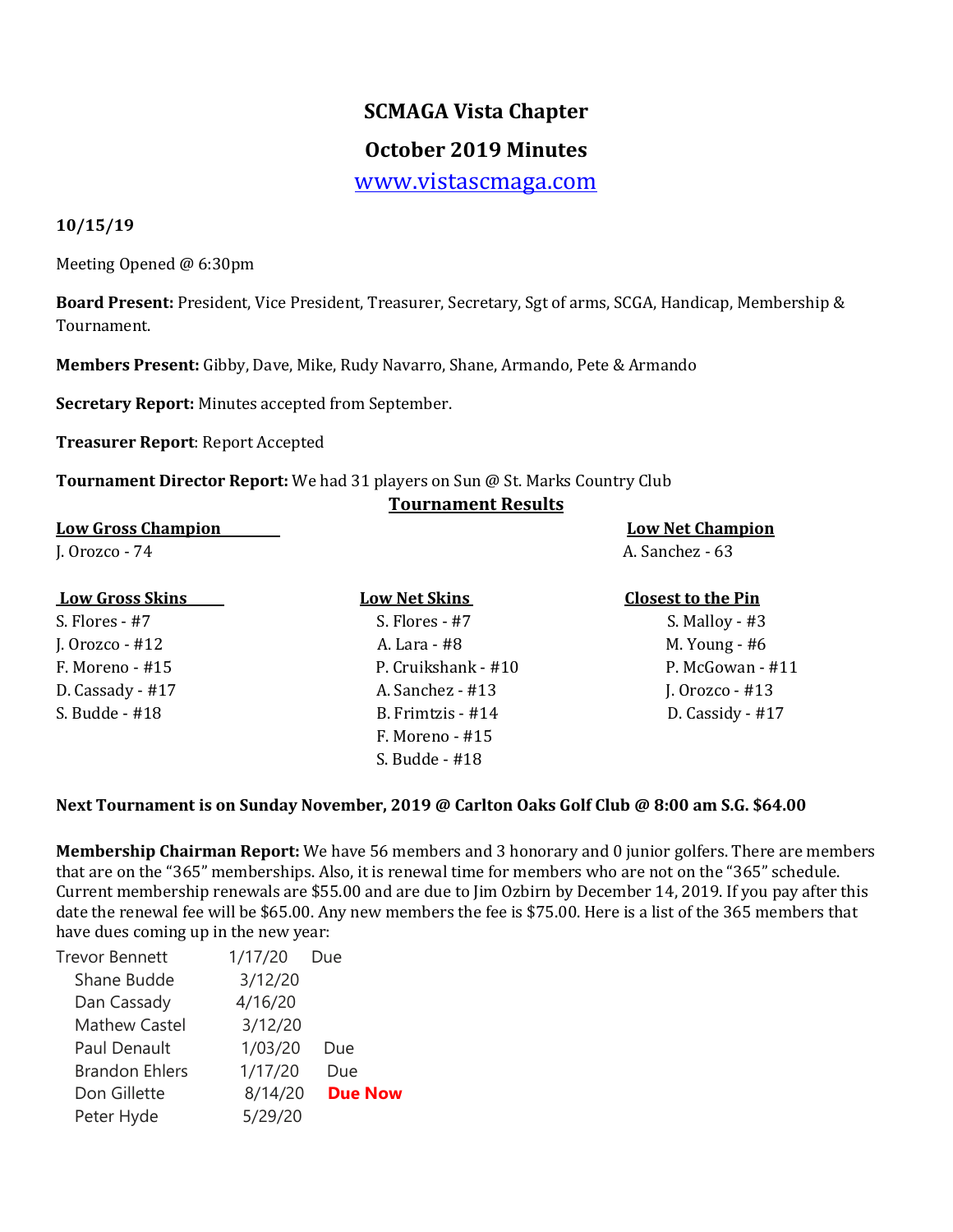# **SCMAGA Vista Chapter**

## **October 2019 Minutes**

[www.vistascmaga.com](http://www.vistascmaga.com/)

#### **10/15/19**

Meeting Opened @ 6:30pm

**Board Present:** President, Vice President, Treasurer, Secretary, Sgt of arms, SCGA, Handicap, Membership & Tournament.

**Members Present:** Gibby, Dave, Mike, Rudy Navarro, Shane, Armando, Pete & Armando

**Secretary Report:** Minutes accepted from September.

**Treasurer Report**: Report Accepted

**Tournament Director Report:** We had 31 players on Sun @ St. Marks Country Club

#### **Tournament Results**

**Low Gross Champion Low Net Champion**  J. Orozco - 74 A. Sanchez - 63

S. Flores - #7 S. Flores - #7 S. Flores - #7 S. Malloy - #3

J. Orozco - #12 A. Lara - #8 M. Young - #6 F. Moreno - #15 P. Cruikshank - #10 P. McGowan - #11 D. Cassady - #17 **A. Sanchez - #13** J. Orozco - #13 S. Budde - #18 B. Frimtzis - #14 D. Cassidy - #17 F. Moreno - #15 S. Budde - #18

#### **Low Gross Skins Low Net Skins Closest to the Pin**

#### **Next Tournament is on Sunday November, 2019 @ Carlton Oaks Golf Club @ 8:00 am S.G. \$64.00**

**Membership Chairman Report:** We have 56 members and 3 honorary and 0 junior golfers. There are members that are on the "365" memberships. Also, it is renewal time for members who are not on the "365" schedule. Current membership renewals are \$55.00 and are due to Jim Ozbirn by December 14, 2019. If you pay after this date the renewal fee will be \$65.00. Any new members the fee is \$75.00. Here is a list of the 365 members that have dues coming up in the new year:

| 1/17/20 | Due            |
|---------|----------------|
| 3/12/20 |                |
| 4/16/20 |                |
| 3/12/20 |                |
| 1/03/20 | Due            |
| 1/17/20 | Due            |
| 8/14/20 | <b>Due Now</b> |
| 5/29/20 |                |
|         |                |